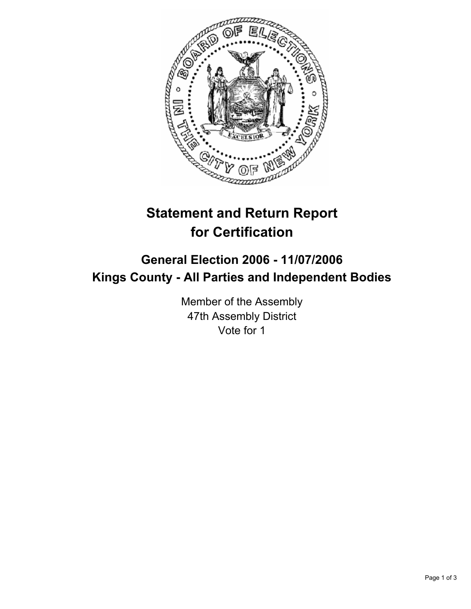

# **Statement and Return Report for Certification**

## **General Election 2006 - 11/07/2006 Kings County - All Parties and Independent Bodies**

Member of the Assembly 47th Assembly District Vote for 1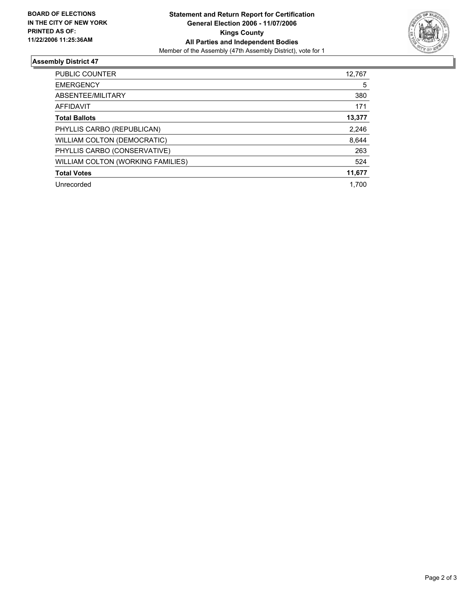

#### **Assembly District 47**

| <b>PUBLIC COUNTER</b>              | 12,767 |
|------------------------------------|--------|
| <b>EMERGENCY</b>                   | 5      |
| ABSENTEE/MILITARY                  | 380    |
| <b>AFFIDAVIT</b>                   | 171    |
| <b>Total Ballots</b>               | 13,377 |
| PHYLLIS CARBO (REPUBLICAN)         | 2,246  |
| <b>WILLIAM COLTON (DEMOCRATIC)</b> | 8,644  |
| PHYLLIS CARBO (CONSERVATIVE)       | 263    |
| WILLIAM COLTON (WORKING FAMILIES)  | 524    |
| <b>Total Votes</b>                 | 11,677 |
| Unrecorded                         | 1.700  |